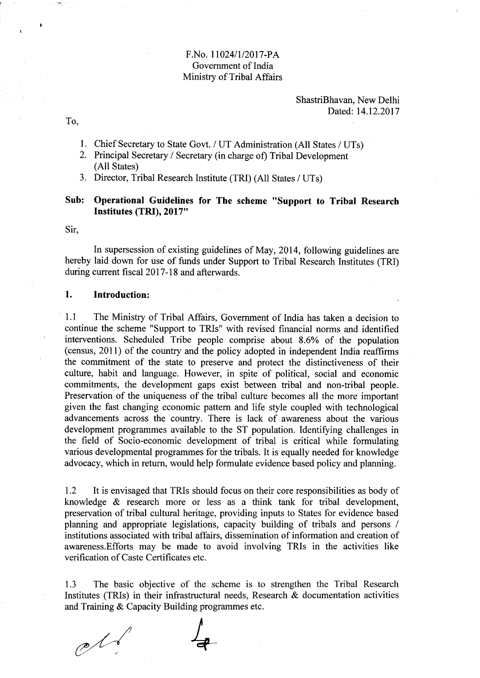## F.No. 11024/1/2017-PA Govemment of India Ministry of Tribal Affairs

ShastriBhavan, New Delhi Dated: 14.12.2017

To,

 $\ddot{\mathbf{r}}$ 

- l. Chief Secretary to State Govt. / UT Administration (All States / UTs)
- 2. Principal Secretary / Secretary (in charge of) Tribal Development (All States)
- 3. Director, Tribal Research Institute (TRI) (All States / UTs)

## Sub: Operational Guidelines for The scheme "Support to Tribal Research Institutes (TRI), 2017"

Sir,

In supersession of existing guidelines of May, 2014, following guidelines are hereby laid down for use of funds under Support to Tribal Research Institutes (TRD during current fiscal 2017-18 and afterwards.

## l. Introduction:

1.1 The Ministry of Tribal Affairs, Govemment of India has taken a decision to continue the scheme "Support to TRIs" with revised financial norns and identified interventions. Scheduled Tribe people comprise about  $8.6\%$  of the population (census, 20lI) of the country and the policy adopted in independent India reaffirms the commitment of the state to preserve and protect the distinctiveness of their culture, habit and language. However, in spite of political, social and economic commitments, the development gaps exist between tribal and non-tribal people. Preservation of the uniqueness of the tribal culture becomes all the more important given the fast changing economic pattern and life style coupled with technological advancements across the country. There is lack of awareness about the various development programmes available to the ST population. Identifying challenges in the field of Socio-economic development of tribal is critical while formulating various developmental programmes for the tribals. It is equally needed for knowledge advocacy, which in return, would help formulate evidence based policy and planning.

1.2 It is envisaged that TRIs should focus on their core responsibilities as body of knowledge & research more or less as a think tank for tribal development, preservation of tribal cultural heritage, providing inputs to States for evidence based planning and appropriate legislations, capacity building of tribals and persons / institutions associated with tribal affairs, dissemination of information and creation of awareness.Efforts may be made to avoid involving TRIs in the activities like verification of Caste Certificates etc.

1.3 The basic objective of the scheme is to strengthen the Tribal Research Institutes (TRIs) in their infrastructural needs, Research  $\&$  documentation activities and Training & Capacity Building programmes etc.

 $\mathcal{C}$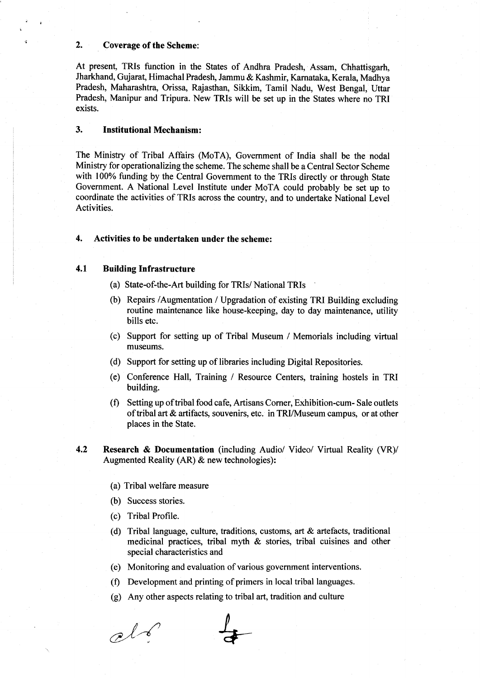### 2. Coverage of the Scheme:

At present, TRIs function in the States of Andhra Pradesh, Assam, Chhattisgarh, Jharkhand, Gujarat, Himachal Pradesh, Jammu & Kashmir, Karnataka, Kerala, Madhya Pradesh, Maharashtra, Orissa, Rajasthan, Sikkim, Tamil Nadu, West Bengal, Uttar Pradesh, Manipur and Tripura. New TRIs will be set up in the States where no TRI exists.

### 3. Institutional Mechanism:

The Ministry of Tribal Affairs (MoTA), Govemment of tndia shall be the nodal Ministry for operationalizing the scheme. The scheme shall be a Central Sector Scheme with 100% funding by the Central Government to the TRIs directly or through State Govemment. A National Level Institute under MoTA could probably be set up to coordinate the activities of TRIs across the country, and to undertake National Level Activities.

#### 4. Activities to be undertaken under the scheme:

## 4.1 Building Infrastructure

- (a) State-of-the-Art building for TRIs/ National TRIs
- (b) Repairs /Augmentation /Upgradation of existing TRI Building excluding routine maintenance like house-keeping, day to day maintenance, utility bills etc.
- (c) Support for setting up of Tribal Museum / Memorials including virtual museums.
- (d) Support for setting up of libraries including Digital Repositories.
- (e) Conference Hall, Training / Resource Centers, training hostels in TRI building.
- $(f)$  Setting up of tribal food cafe, Artisans Corner, Exhibition-cum- Sale outlets of tribal art & artifacts, souvenirs, etc. in TRI/Museum campus, or at other places in the State.
- 4.2 Research & Documentation (including Audio/ Video/ Virtual Reality (VR)/ Augmented Reality (AR) & new technologies):
	- (a) Tribal welfare measure
	- (b) Success stories.
	- (c) Tribal Profile.
	- (d) Tribal language, culture, traditions, customs, art & artefacts, traditional medicinal practices, tribal myth & stories, tribal cuisines and other special characteristics and
	- (e) Monitoring and evaluation of various government interventions.
	- (f) Development and printing of primers in local tribal languages.
	- (g) Any other aspects relating to tribal art, tradition and culture

 $ol6$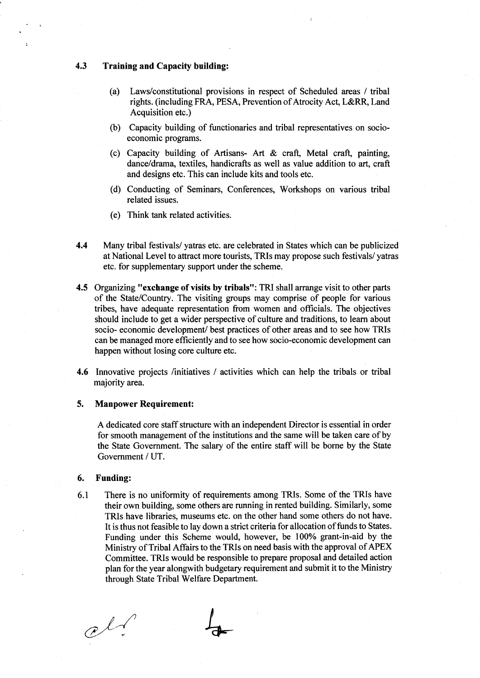#### 4.3 Training and Capacity building:

- (a) Laws/constitutional provisions in respect of Scheduled areas / tribal rights. (including FRA, PESA, Prevention of Atrocity Act, L&RR, Land Acquisition etc.)
- (b) Capacity building of functionaries and tribal representatives on socioeconomic programs.
- (c) Capacity building of Artisans- Art  $\&$  craft, Metal craft, painting, dance/drama, textiles, handicrafts as well as value addition to art, craft and designs etc. This can include kits and tools etc.
- (d) Conducting of Seminars, Conferences, Workshops on various tribal related issues.
- (e) Think tank related activities.
- 4.4 Many tribal festivals/ yatras etc. are celebrated in States which can be publicized at National Level to attract more tourists, TRIs may propose such festivals/ yatras etc. for supplementary support under the scheme.
- 4.5 Organizing "exchange of visits by tribals": TRI shall arrange visit to other parts of the State/Country. The visiting groups may comprise of people for various tribes, have adequate representation from women and officials. The objectives should include to get a wider perspective of culture and traditions, to learn about socio- economic development/ best practices of other areas and to see how TRIs can be managed more efficiently and to see how socio-economic development can happen without losing core culture etc.
- 4.6 Innovative projects /initiatives / activities which can help the tribals or tribal majority area.

#### 5. Manpower Requirement:

A dedicated core staff structure with an independent Director is essential in order for smooth management of the institutions and the same will be taken care of by the State Government. The salary of the entire staff will be borne by the State Government / UT.

#### 6. Funding:

6.1 There is no uniformlty of requirements among TRls. Some of the TRIs have their own building, some others are running in rented building. Similarly, some TRIs have libraries, museums etc. on the other hand some others do not have. It is thus not feasible to lay down a strict criteria for allocation of funds to States. Funding under this Scheme would, however, be 100% grant-in-aid by the Ministry of Tribal Affairs to the TRIs on need basis with the approval of APEX Committee. TRIs would be responsible to prepare proposal and detailed action plan for the year alongwith budgetary requirement and submit it to the Ministry through State Tribal Welfare Department.

 $cl$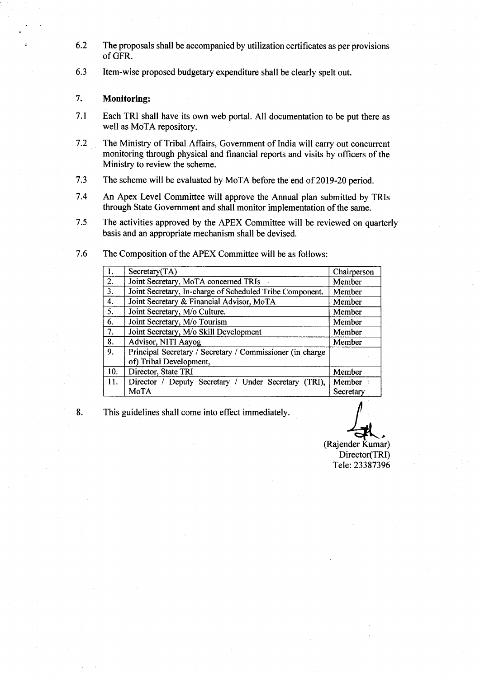- 6.2 The proposals shall be accompanied by utilization certificates as per provisions of GFR.
- 6.3 ltem-wise proposed budgetary expenditure shall be clearly spelt out.

## 7. Monitoring:

- Each TRI shall have its own web portal. All documentation to be put there as well as MoTA repository. 7.1
- The Ministry of Tribal Affairs, Government of India will carry out concurrent monitoring through physical and financial reports and visits by officers of the Ministry to review the scheme. 7.2
- The scheme will be evaluated by MoTA before the end of 2019-20 period. 7.3
- An Apex Level Committee will approve the Annual plan submitted by TRIs through State Govemment and shall monitor implementation of the same. 7.4
- The activities approved by the APEX Committee will be reviewed on quarterly basis and an appropriate mechanism shall be devised. 7.5

|     | Secretary(TA)                                                                        | Chairperson |
|-----|--------------------------------------------------------------------------------------|-------------|
| 2.  | Joint Secretary, MoTA concerned TRIs                                                 | Member      |
| 3.  | Joint Secretary, In-charge of Scheduled Tribe Component.                             | Member      |
| 4.  | Joint Secretary & Financial Advisor, MoTA                                            | Member      |
| 5.  | Joint Secretary, M/o Culture.                                                        | Member      |
| 6.  | Joint Secretary, M/o Tourism                                                         | Member      |
| 7.  | Joint Secretary, M/o Skill Development                                               | Member      |
| 8.  | Advisor, NITI Aayog                                                                  | Member      |
| 9.  | Principal Secretary / Secretary / Commissioner (in charge<br>of) Tribal Development, |             |
| 10. | Director, State TRI                                                                  | Member      |
| 11. | Director / Deputy Secretary / Under Secretary<br>$(TRI)$ ,                           | Member      |
|     | MoTA                                                                                 | Secretary   |

7.6 The Composition of the APEX Committee will be as follows:

8. This guidelines shall come into effect immediately

(Rajender Kumar)

Director(TRI) Tele:23387396